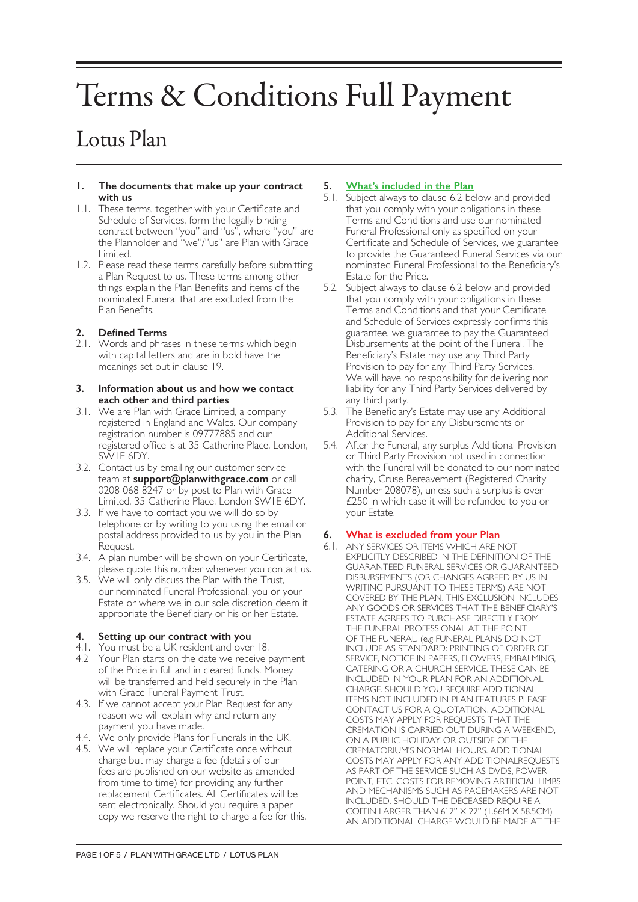# Terms & Conditions Full Payment

# Lotus Plan

#### **1. The documents that make up your contract with us**

- 1.1. These terms, together with your Certificate and Schedule of Services, form the legally binding contract between "you" and "us", where "you" are the Planholder and "we"/"us" are Plan with Grace Limited.
- 1.2. Please read these terms carefully before submitting a Plan Request to us. These terms among other things explain the Plan Benefits and items of the nominated Funeral that are excluded from the Plan Benefits.

# **2. Defined Terms**

2.1. Words and phrases in these terms which begin with capital letters and are in bold have the meanings set out in clause 19.

#### **3. Information about us and how we contact each other and third parties**

- 3.1. We are Plan with Grace Limited, a company registered in England and Wales. Our company registration number is 09777885 and our registered office is at 35 Catherine Place, London, SW1E 6DY.
- 3.2. Contact us by emailing our customer service team at **support@planwithgrace.com** or call 0208 068 8247 or by post to Plan with Grace Limited, 35 Catherine Place, London SW1E 6DY.
- 3.3. If we have to contact you we will do so by telephone or by writing to you using the email or postal address provided to us by you in the Plan Request.
- 3.4. A plan number will be shown on your Certificate, please quote this number whenever you contact us.
- 3.5. We will only discuss the Plan with the Trust, our nominated Funeral Professional, you or your Estate or where we in our sole discretion deem it appropriate the Beneficiary or his or her Estate.

# **4. Setting up our contract with you**

- 4.1. You must be a UK resident and over 18.
- 4.2 Your Plan starts on the date we receive payment of the Price in full and in cleared funds. Money will be transferred and held securely in the Plan with Grace Funeral Payment Trust.
- 4.3. If we cannot accept your Plan Request for any reason we will explain why and return any payment you have made.
- 4.4. We only provide Plans for Funerals in the UK.
- 4.5. We will replace your Certificate once without charge but may charge a fee (details of our fees are published on our website as amended from time to time) for providing any further replacement Certificates. All Certificates will be sent electronically. Should you require a paper copy we reserve the right to charge a fee for this.

# **5. What's included in the Plan**

- 5.1. Subject always to clause 6.2 below and provided that you comply with your obligations in these Terms and Conditions and use our nominated Funeral Professional only as specified on your Certificate and Schedule of Services, we guarantee to provide the Guaranteed Funeral Services via our nominated Funeral Professional to the Beneficiary's Estate for the Price.
- 5.2. Subject always to clause 6.2 below and provided that you comply with your obligations in these Terms and Conditions and that your Certificate and Schedule of Services expressly confirms this guarantee, we guarantee to pay the Guaranteed Disbursements at the point of the Funeral. The Beneficiary's Estate may use any Third Party Provision to pay for any Third Party Services. We will have no responsibility for delivering nor liability for any Third Party Services delivered by any third party.
- 5.3. The Beneficiary's Estate may use any Additional Provision to pay for any Disbursements or Additional Services.
- 5.4. After the Funeral, any surplus Additional Provision or Third Party Provision not used in connection with the Funeral will be donated to our nominated charity, Cruse Bereavement (Registered Charity Number 208078), unless such a surplus is over £250 in which case it will be refunded to you or your Estate.

# **6. What is excluded from your Plan**

6.1. ANY SERVICES OR ITEMS WHICH ARE NOT EXPLICITLY DESCRIBED IN THE DEFINITION OF THE GUARANTEED FUNERAL SERVICES OR GUARANTEED DISBURSEMENTS (OR CHANGES AGREED BY US IN WRITING PURSUANT TO THESE TERMS) ARE NOT COVERED BY THE PLAN. THIS EXCLUSION INCLUDES ANY GOODS OR SERVICES THAT THE BENEFICIARY'S ESTATE AGREES TO PURCHASE DIRECTLY FROM THE FUNERAL PROFESSIONAL AT THE POINT OF THE FUNERAL. (e.g FUNERAL PLANS DO NOT INCLUDE AS STANDARD: PRINTING OF ORDER OF SERVICE, NOTICE IN PAPERS, FLOWERS, EMBALMING, CATERING OR A CHURCH SERVICE. THESE CAN BE INCLUDED IN YOUR PLAN FOR AN ADDITIONAL CHARGE. SHOULD YOU REQUIRE ADDITIONAL ITEMS NOT INCLUDED IN PLAN FEATURES PLEASE CONTACT US FOR A QUOTATION. ADDITIONAL COSTS MAY APPLY FOR REQUESTS THAT THE CREMATION IS CARRIED OUT DURING A WEEKEND, ON A PUBLIC HOLIDAY OR OUTSIDE OF THE CREMATORIUM'S NORMAL HOURS. ADDITIONAL COSTS MAY APPLY FOR ANY ADDITIONALREQUESTS AS PART OF THE SERVICE SUCH AS DVDS, POWER-POINT, ETC. COSTS FOR REMOVING ARTIFICIAL LIMBS AND MECHANISMS SUCH AS PACEMAKERS ARE NOT INCLUDED. SHOULD THE DECEASED REQUIRE A COFFIN LARGER THAN 6' 2" X 22" (1.66M X 58.5CM) AN ADDITIONAL CHARGE WOULD BE MADE AT THE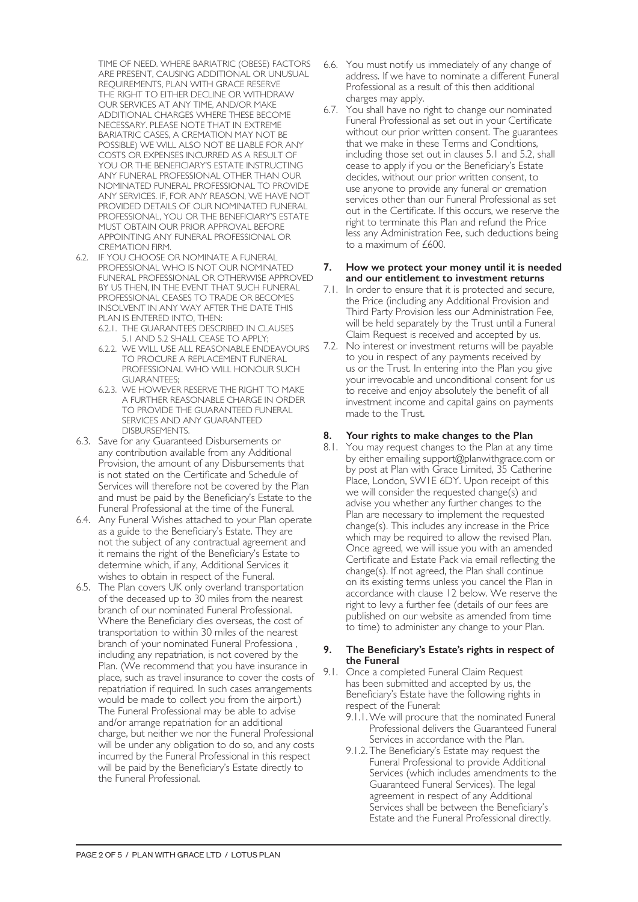TIME OF NEED. WHERE BARIATRIC (OBESE) FACTORS ARE PRESENT, CAUSING ADDITIONAL OR UNUSUAL REQUIREMENTS, PLAN WITH GRACE RESERVE THE RIGHT TO EITHER DECLINE OR WITHDRAW OUR SERVICES AT ANY TIME, AND/OR MAKE ADDITIONAL CHARGES WHERE THESE BECOME NECESSARY. PLEASE NOTE THAT IN EXTREME BARIATRIC CASES, A CREMATION MAY NOT BE POSSIBLE) WE WILL ALSO NOT BE LIABLE FOR ANY COSTS OR EXPENSES INCURRED AS A RESULT OF YOU OR THE BENEFICIARY'S ESTATE INSTRUCTING ANY FUNERAL PROFESSIONAL OTHER THAN OUR NOMINATED FUNERAL PROFESSIONAL TO PROVIDE ANY SERVICES. IF, FOR ANY REASON, WE HAVE NOT PROVIDED DETAILS OF OUR NOMINATED FUNERAL PROFESSIONAL, YOU OR THE BENEFICIARY'S ESTATE MUST OBTAIN OUR PRIOR APPROVAL BEFORE APPOINTING ANY FUNERAL PROFESSIONAL OR CREMATION FIRM.

- 6.2. IF YOU CHOOSE OR NOMINATE A FUNERAL PROFESSIONAL WHO IS NOT OUR NOMINATED FUNERAL PROFESSIONAL OR OTHERWISE APPROVED BY US THEN, IN THE EVENT THAT SUCH FUNERAL PROFESSIONAL CEASES TO TRADE OR BECOMES INSOLVENT IN ANY WAY AFTER THE DATE THIS PLAN IS ENTERED INTO, THEN:
	- 6.2.1. THE GUARANTEES DESCRIBED IN CLAUSES 5.1 AND 5.2 SHALL CEASE TO APPLY;
	- 6.2.2. WE WILL USE ALL REASONABLE ENDEAVOURS TO PROCURE A REPLACEMENT FUNERAL PROFESSIONAL WHO WILL HONOUR SUCH GUARANTEES;
	- 6.2.3. WE HOWEVER RESERVE THE RIGHT TO MAKE A FURTHER REASONABLE CHARGE IN ORDER TO PROVIDE THE GUARANTEED FUNERAL SERVICES AND ANY GUARANTEED DISBURSEMENTS.
- 6.3. Save for any Guaranteed Disbursements or any contribution available from any Additional Provision, the amount of any Disbursements that is not stated on the Certificate and Schedule of Services will therefore not be covered by the Plan and must be paid by the Beneficiary's Estate to the Funeral Professional at the time of the Funeral.
- 6.4. Any Funeral Wishes attached to your Plan operate as a guide to the Beneficiary's Estate. They are not the subject of any contractual agreement and it remains the right of the Beneficiary's Estate to determine which, if any, Additional Services it wishes to obtain in respect of the Funeral.
- 6.5. The Plan covers UK only overland transportation of the deceased up to 30 miles from the nearest branch of our nominated Funeral Professional. Where the Beneficiary dies overseas, the cost of transportation to within 30 miles of the nearest branch of your nominated Funeral Professiona , including any repatriation, is not covered by the Plan. (We recommend that you have insurance in place, such as travel insurance to cover the costs of repatriation if required. In such cases arrangements would be made to collect you from the airport.) The Funeral Professional may be able to advise and/or arrange repatriation for an additional charge, but neither we nor the Funeral Professional will be under any obligation to do so, and any costs incurred by the Funeral Professional in this respect will be paid by the Beneficiary's Estate directly to the Funeral Professional.
- 6.6. You must notify us immediately of any change of address. If we have to nominate a different Funeral Professional as a result of this then additional charges may apply.
- 6.7. You shall have no right to change our nominated Funeral Professional as set out in your Certificate without our prior written consent. The guarantees that we make in these Terms and Conditions, including those set out in clauses 5.1 and 5.2, shall cease to apply if you or the Beneficiary's Estate decides, without our prior written consent, to use anyone to provide any funeral or cremation services other than our Funeral Professional as set out in the Certificate. If this occurs, we reserve the right to terminate this Plan and refund the Price less any Administration Fee, such deductions being to a maximum of £600.

#### **7. How we protect your money until it is needed and our entitlement to investment returns**

- 7.1. In order to ensure that it is protected and secure, the Price (including any Additional Provision and Third Party Provision less our Administration Fee, will be held separately by the Trust until a Funeral Claim Request is received and accepted by us.
- 7.2. No interest or investment returns will be payable to you in respect of any payments received by us or the Trust. In entering into the Plan you give your irrevocable and unconditional consent for us to receive and enjoy absolutely the benefit of all investment income and capital gains on payments made to the Trust.

# **8. Your rights to make changes to the Plan**

8.1. You may request changes to the Plan at any time by either emailing support@planwithgrace.com or by post at Plan with Grace Limited, 35 Catherine Place, London, SW1E 6DY. Upon receipt of this we will consider the requested change(s) and advise you whether any further changes to the Plan are necessary to implement the requested change(s). This includes any increase in the Price which may be required to allow the revised Plan. Once agreed, we will issue you with an amended Certificate and Estate Pack via email reflecting the change(s). If not agreed, the Plan shall continue on its existing terms unless you cancel the Plan in accordance with clause 12 below. We reserve the right to levy a further fee (details of our fees are published on our website as amended from time to time) to administer any change to your Plan.

#### **9. The Beneficiary's Estate's rights in respect of the Funeral**

- 9.1. Once a completed Funeral Claim Request has been submitted and accepted by us, the Beneficiary's Estate have the following rights in respect of the Funeral:
	- 9.1.1.We will procure that the nominated Funeral Professional delivers the Guaranteed Funeral Services in accordance with the Plan.
	- 9.1.2. The Beneficiary's Estate may request the Funeral Professional to provide Additional Services (which includes amendments to the Guaranteed Funeral Services). The legal agreement in respect of any Additional Services shall be between the Beneficiary's Estate and the Funeral Professional directly.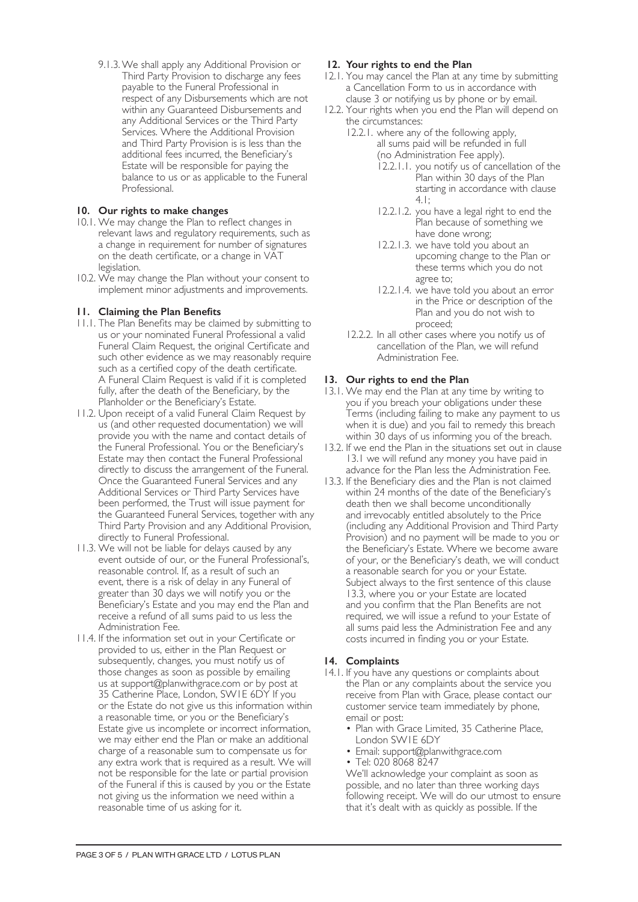9.1.3.We shall apply any Additional Provision or Third Party Provision to discharge any fees payable to the Funeral Professional in respect of any Disbursements which are not within any Guaranteed Disbursements and any Additional Services or the Third Party Services. Where the Additional Provision and Third Party Provision is is less than the additional fees incurred, the Beneficiary's Estate will be responsible for paying the balance to us or as applicable to the Funeral Professional.

# **10. Our rights to make changes**

- 10.1. We may change the Plan to reflect changes in relevant laws and regulatory requirements, such as a change in requirement for number of signatures on the death certificate, or a change in VAT legislation.
- 10.2. We may change the Plan without your consent to implement minor adjustments and improvements.

# **11. Claiming the Plan Benefits**

- 11.1. The Plan Benefits may be claimed by submitting to us or your nominated Funeral Professional a valid Funeral Claim Request, the original Certificate and such other evidence as we may reasonably require such as a certified copy of the death certificate. A Funeral Claim Request is valid if it is completed fully, after the death of the Beneficiary, by the Planholder or the Beneficiary's Estate.
- 11.2. Upon receipt of a valid Funeral Claim Request by us (and other requested documentation) we will provide you with the name and contact details of the Funeral Professional. You or the Beneficiary's Estate may then contact the Funeral Professional directly to discuss the arrangement of the Funeral. Once the Guaranteed Funeral Services and any Additional Services or Third Party Services have been performed, the Trust will issue payment for the Guaranteed Funeral Services, together with any Third Party Provision and any Additional Provision, directly to Funeral Professional.
- 11.3. We will not be liable for delays caused by any event outside of our, or the Funeral Professional's, reasonable control. If, as a result of such an event, there is a risk of delay in any Funeral of greater than 30 days we will notify you or the Beneficiary's Estate and you may end the Plan and receive a refund of all sums paid to us less the Administration Fee.
- 11.4. If the information set out in your Certificate or provided to us, either in the Plan Request or subsequently, changes, you must notify us of those changes as soon as possible by emailing us at support@planwithgrace.com or by post at 35 Catherine Place, London, SW1E 6DY If you or the Estate do not give us this information within a reasonable time, or you or the Beneficiary's Estate give us incomplete or incorrect information, we may either end the Plan or make an additional charge of a reasonable sum to compensate us for any extra work that is required as a result. We will not be responsible for the late or partial provision of the Funeral if this is caused by you or the Estate not giving us the information we need within a reasonable time of us asking for it.

# **12. Your rights to end the Plan**

- 12.1. You may cancel the Plan at any time by submitting a Cancellation Form to us in accordance with clause 3 or notifying us by phone or by email.
- 12.2. Your rights when you end the Plan will depend on the circumstances:
	- 12.2.1. where any of the following apply, all sums paid will be refunded in full (no Administration Fee apply).
		- 12.2.1.1. you notify us of cancellation of the Plan within 30 days of the Plan starting in accordance with clause 4.1;
		- 12.2.1.2. you have a legal right to end the Plan because of something we have done wrong;
		- 12.2.1.3. we have told you about an upcoming change to the Plan or these terms which you do not agree to;
		- 12.2.1.4. we have told you about an error in the Price or description of the Plan and you do not wish to proceed;
	- 12.2.2. In all other cases where you notify us of cancellation of the Plan, we will refund Administration Fee.

#### **13. Our rights to end the Plan**

- 13.1. We may end the Plan at any time by writing to you if you breach your obligations under these Terms (including failing to make any payment to us when it is due) and you fail to remedy this breach within 30 days of us informing you of the breach.
- 13.2. If we end the Plan in the situations set out in clause 13.1 we will refund any money you have paid in advance for the Plan less the Administration Fee.
- 13.3. If the Beneficiary dies and the Plan is not claimed within 24 months of the date of the Beneficiary's death then we shall become unconditionally and irrevocably entitled absolutely to the Price (including any Additional Provision and Third Party Provision) and no payment will be made to you or the Beneficiary's Estate. Where we become aware of your, or the Beneficiary's death, we will conduct a reasonable search for you or your Estate. Subject always to the first sentence of this clause 13.3, where you or your Estate are located and you confirm that the Plan Benefits are not required, we will issue a refund to your Estate of all sums paid less the Administration Fee and any costs incurred in finding you or your Estate.

#### **14. Complaints**

- 14.1. If you have any questions or complaints about the Plan or any complaints about the service you receive from Plan with Grace, please contact our customer service team immediately by phone, email or post:
	- Plan with Grace Limited, 35 Catherine Place, London SW1E 6DY
	- Email: support@planwithgrace.com
	- Tel: 020 8068 8247

We'll acknowledge your complaint as soon as possible, and no later than three working days following receipt. We will do our utmost to ensure that it's dealt with as quickly as possible. If the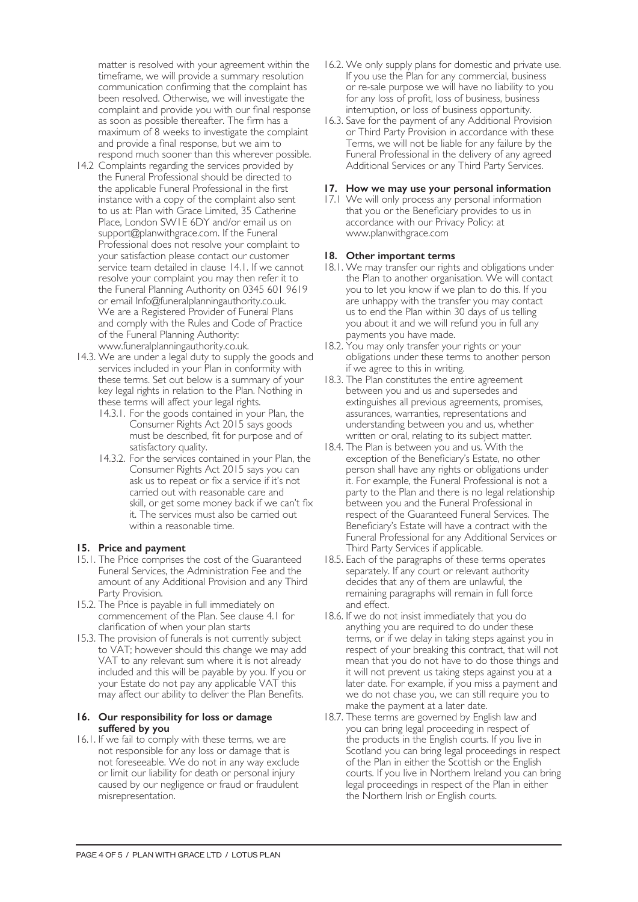matter is resolved with your agreement within the timeframe, we will provide a summary resolution communication confirming that the complaint has been resolved. Otherwise, we will investigate the complaint and provide you with our final response as soon as possible thereafter. The firm has a maximum of 8 weeks to investigate the complaint and provide a final response, but we aim to respond much sooner than this wherever possible.

- 14.2 Complaints regarding the services provided by the Funeral Professional should be directed to the applicable Funeral Professional in the first instance with a copy of the complaint also sent to us at: Plan with Grace Limited, 35 Catherine Place, London SW1E 6DY and/or email us on support@planwithgrace.com. If the Funeral Professional does not resolve your complaint to your satisfaction please contact our customer service team detailed in clause 14.1. If we cannot resolve your complaint you may then refer it to the Funeral Planning Authority on 0345 601 9619 or email Info@funeralplanningauthority.co.uk. We are a Registered Provider of Funeral Plans and comply with the Rules and Code of Practice of the Funeral Planning Authority: www.funeralplanningauthority.co.uk.
- 14.3. We are under a legal duty to supply the goods and services included in your Plan in conformity with these terms. Set out below is a summary of your key legal rights in relation to the Plan. Nothing in these terms will affect your legal rights.
	- 14.3.1. For the goods contained in your Plan, the Consumer Rights Act 2015 says goods must be described, fit for purpose and of satisfactory quality.
	- 14.3.2. For the services contained in your Plan, the Consumer Rights Act 2015 says you can ask us to repeat or fix a service if it's not carried out with reasonable care and skill, or get some money back if we can't fix it. The services must also be carried out within a reasonable time.

# **15. Price and payment**

- 15.1. The Price comprises the cost of the Guaranteed Funeral Services, the Administration Fee and the amount of any Additional Provision and any Third Party Provision.
- 15.2. The Price is payable in full immediately on commencement of the Plan. See clause 4.1 for clarification of when your plan starts
- 15.3. The provision of funerals is not currently subject to VAT; however should this change we may add VAT to any relevant sum where it is not already included and this will be payable by you. If you or your Estate do not pay any applicable VAT this may affect our ability to deliver the Plan Benefits.

#### **16. Our responsibility for loss or damage suffered by you**

16.1. If we fail to comply with these terms, we are not responsible for any loss or damage that is not foreseeable. We do not in any way exclude or limit our liability for death or personal injury caused by our negligence or fraud or fraudulent misrepresentation.

- 16.2. We only supply plans for domestic and private use. If you use the Plan for any commercial, business or re-sale purpose we will have no liability to you for any loss of profit, loss of business, business interruption, or loss of business opportunity.
- 16.3. Save for the payment of any Additional Provision or Third Party Provision in accordance with these Terms, we will not be liable for any failure by the Funeral Professional in the delivery of any agreed Additional Services or any Third Party Services.

# **17. How we may use your personal information**

17.1 We will only process any personal information that you or the Beneficiary provides to us in accordance with our Privacy Policy: at www.planwithgrace.com

# **18. Other important terms**

- 18.1. We may transfer our rights and obligations under the Plan to another organisation. We will contact you to let you know if we plan to do this. If you are unhappy with the transfer you may contact us to end the Plan within 30 days of us telling you about it and we will refund you in full any payments you have made.
- 18.2. You may only transfer your rights or your obligations under these terms to another person if we agree to this in writing.
- 18.3. The Plan constitutes the entire agreement between you and us and supersedes and extinguishes all previous agreements, promises, assurances, warranties, representations and understanding between you and us, whether written or oral, relating to its subject matter.
- 18.4. The Plan is between you and us. With the exception of the Beneficiary's Estate, no other person shall have any rights or obligations under it. For example, the Funeral Professional is not a party to the Plan and there is no legal relationship between you and the Funeral Professional in respect of the Guaranteed Funeral Services. The Beneficiary's Estate will have a contract with the Funeral Professional for any Additional Services or Third Party Services if applicable.
- 18.5. Each of the paragraphs of these terms operates separately. If any court or relevant authority decides that any of them are unlawful, the remaining paragraphs will remain in full force and effect.
- 18.6. If we do not insist immediately that you do anything you are required to do under these terms, or if we delay in taking steps against you in respect of your breaking this contract, that will not mean that you do not have to do those things and it will not prevent us taking steps against you at a later date. For example, if you miss a payment and we do not chase you, we can still require you to make the payment at a later date.
- 18.7. These terms are governed by English law and you can bring legal proceeding in respect of the products in the English courts. If you live in Scotland you can bring legal proceedings in respect of the Plan in either the Scottish or the English courts. If you live in Northern Ireland you can bring legal proceedings in respect of the Plan in either the Northern Irish or English courts.